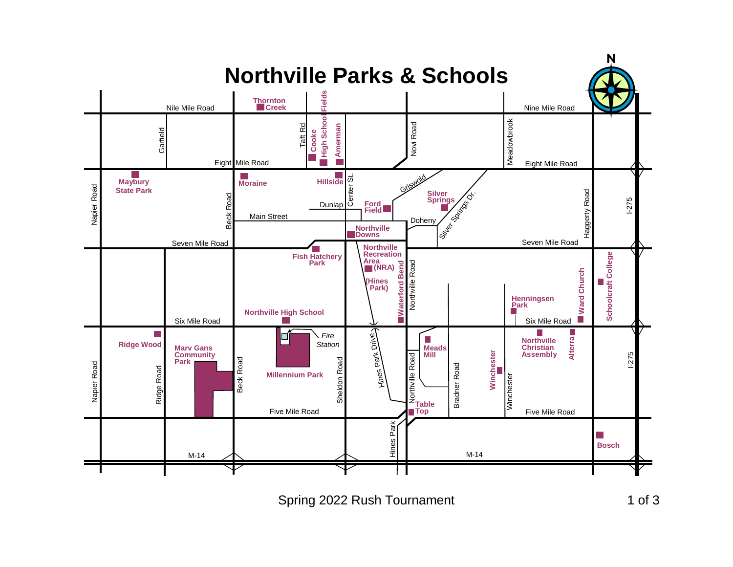## **Northville Parks & Schools**



Spring 2022 Rush Tournament 1 of 3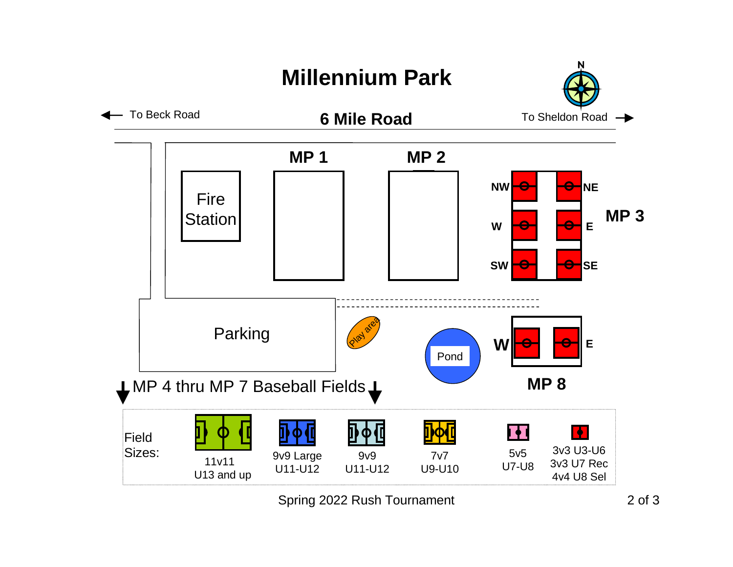## **Millennium Park**





Spring 2022 Rush Tournament 2 of 3